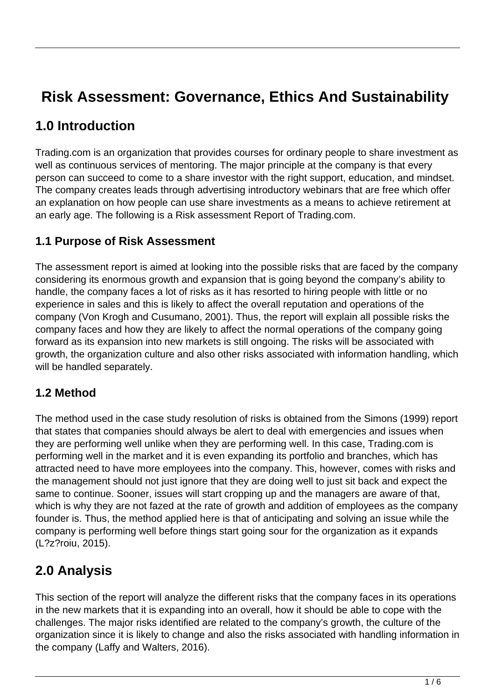# **Risk Assessment: Governance, Ethics And Sustainability**

### **1.0 Introduction**

Trading.com is an organization that provides courses for ordinary people to share investment as well as continuous services of mentoring. The major principle at the company is that every person can succeed to come to a share investor with the right support, education, and mindset. The company creates leads through advertising introductory webinars that are free which offer an explanation on how people can use share investments as a means to achieve retirement at an early age. The following is a Risk assessment Report of Trading.com.

#### **1.1 Purpose of Risk Assessment**

The assessment report is aimed at looking into the possible risks that are faced by the company considering its enormous growth and expansion that is going beyond the company's ability to handle, the company faces a lot of risks as it has resorted to hiring people with little or no experience in sales and this is likely to affect the overall reputation and operations of the company (Von Krogh and Cusumano, 2001). Thus, the report will explain all possible risks the company faces and how they are likely to affect the normal operations of the company going forward as its expansion into new markets is still ongoing. The risks will be associated with growth, the organization culture and also other risks associated with information handling, which will be handled separately.

#### **1.2 Method**

The method used in the case study resolution of risks is obtained from the Simons (1999) report that states that companies should always be alert to deal with emergencies and issues when they are performing well unlike when they are performing well. In this case, Trading.com is performing well in the market and it is even expanding its portfolio and branches, which has attracted need to have more employees into the company. This, however, comes with risks and the management should not just ignore that they are doing well to just sit back and expect the same to continue. Sooner, issues will start cropping up and the managers are aware of that, which is why they are not fazed at the rate of growth and addition of employees as the company founder is. Thus, the method applied here is that of anticipating and solving an issue while the company is performing well before things start going sour for the organization as it expands (L?z?roiu, 2015).

### **2.0 Analysis**

This section of the report will analyze the different risks that the company faces in its operations in the new markets that it is expanding into an overall, how it should be able to cope with the challenges. The major risks identified are related to the company's growth, the culture of the organization since it is likely to change and also the risks associated with handling information in the company (Laffy and Walters, 2016).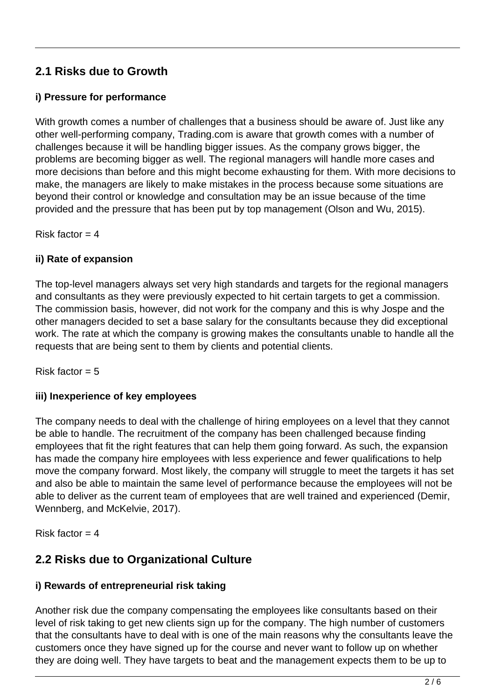### **2.1 Risks due to Growth**

#### **i) Pressure for performance**

With growth comes a number of challenges that a business should be aware of. Just like any other well-performing company, Trading.com is aware that growth comes with a number of challenges because it will be handling bigger issues. As the company grows bigger, the problems are becoming bigger as well. The regional managers will handle more cases and more decisions than before and this might become exhausting for them. With more decisions to make, the managers are likely to make mistakes in the process because some situations are beyond their control or knowledge and consultation may be an issue because of the time provided and the pressure that has been put by top management (Olson and Wu, 2015).

Risk factor  $=$  4

#### **ii) Rate of expansion**

The top-level managers always set very high standards and targets for the regional managers and consultants as they were previously expected to hit certain targets to get a commission. The commission basis, however, did not work for the company and this is why Jospe and the other managers decided to set a base salary for the consultants because they did exceptional work. The rate at which the company is growing makes the consultants unable to handle all the requests that are being sent to them by clients and potential clients.

Risk factor  $= 5$ 

#### **iii) Inexperience of key employees**

The company needs to deal with the challenge of hiring employees on a level that they cannot be able to handle. The recruitment of the company has been challenged because finding employees that fit the right features that can help them going forward. As such, the expansion has made the company hire employees with less experience and fewer qualifications to help move the company forward. Most likely, the company will struggle to meet the targets it has set and also be able to maintain the same level of performance because the employees will not be able to deliver as the current team of employees that are well trained and experienced (Demir, Wennberg, and McKelvie, 2017).

Risk factor  $=$  4

### **2.2 Risks due to Organizational Culture**

#### **i) Rewards of entrepreneurial risk taking**

Another risk due the company compensating the employees like consultants based on their level of risk taking to get new clients sign up for the company. The high number of customers that the consultants have to deal with is one of the main reasons why the consultants leave the customers once they have signed up for the course and never want to follow up on whether they are doing well. They have targets to beat and the management expects them to be up to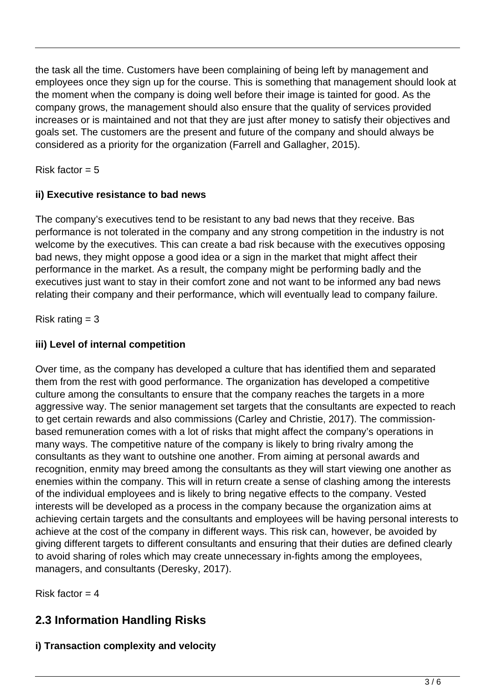the task all the time. Customers have been complaining of being left by management and employees once they sign up for the course. This is something that management should look at the moment when the company is doing well before their image is tainted for good. As the company grows, the management should also ensure that the quality of services provided increases or is maintained and not that they are just after money to satisfy their objectives and goals set. The customers are the present and future of the company and should always be considered as a priority for the organization (Farrell and Gallagher, 2015).

Risk factor  $= 5$ 

#### **ii) Executive resistance to bad news**

The company's executives tend to be resistant to any bad news that they receive. Bas performance is not tolerated in the company and any strong competition in the industry is not welcome by the executives. This can create a bad risk because with the executives opposing bad news, they might oppose a good idea or a sign in the market that might affect their performance in the market. As a result, the company might be performing badly and the executives just want to stay in their comfort zone and not want to be informed any bad news relating their company and their performance, which will eventually lead to company failure.

Risk rating  $= 3$ 

#### **iii) Level of internal competition**

Over time, as the company has developed a culture that has identified them and separated them from the rest with good performance. The organization has developed a competitive culture among the consultants to ensure that the company reaches the targets in a more aggressive way. The senior management set targets that the consultants are expected to reach to get certain rewards and also commissions (Carley and Christie, 2017). The commissionbased remuneration comes with a lot of risks that might affect the company's operations in many ways. The competitive nature of the company is likely to bring rivalry among the consultants as they want to outshine one another. From aiming at personal awards and recognition, enmity may breed among the consultants as they will start viewing one another as enemies within the company. This will in return create a sense of clashing among the interests of the individual employees and is likely to bring negative effects to the company. Vested interests will be developed as a process in the company because the organization aims at achieving certain targets and the consultants and employees will be having personal interests to achieve at the cost of the company in different ways. This risk can, however, be avoided by giving different targets to different consultants and ensuring that their duties are defined clearly to avoid sharing of roles which may create unnecessary in-fights among the employees, managers, and consultants (Deresky, 2017).

Risk factor  $= 4$ 

### **2.3 Information Handling Risks**

#### **i) Transaction complexity and velocity**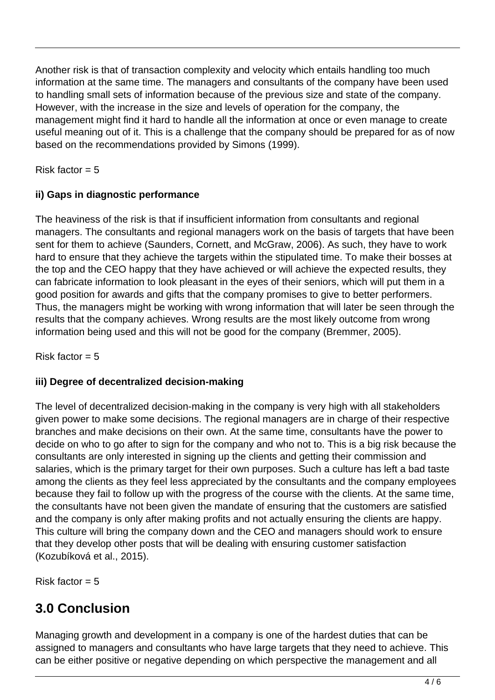Another risk is that of transaction complexity and velocity which entails handling too much information at the same time. The managers and consultants of the company have been used to handling small sets of information because of the previous size and state of the company. However, with the increase in the size and levels of operation for the company, the management might find it hard to handle all the information at once or even manage to create useful meaning out of it. This is a challenge that the company should be prepared for as of now based on the recommendations provided by Simons (1999).

Risk factor  $= 5$ 

#### **ii) Gaps in diagnostic performance**

The heaviness of the risk is that if insufficient information from consultants and regional managers. The consultants and regional managers work on the basis of targets that have been sent for them to achieve (Saunders, Cornett, and McGraw, 2006). As such, they have to work hard to ensure that they achieve the targets within the stipulated time. To make their bosses at the top and the CEO happy that they have achieved or will achieve the expected results, they can fabricate information to look pleasant in the eyes of their seniors, which will put them in a good position for awards and gifts that the company promises to give to better performers. Thus, the managers might be working with wrong information that will later be seen through the results that the company achieves. Wrong results are the most likely outcome from wrong information being used and this will not be good for the company (Bremmer, 2005).

Risk factor  $= 5$ 

#### **iii) Degree of decentralized decision-making**

The level of decentralized decision-making in the company is very high with all stakeholders given power to make some decisions. The regional managers are in charge of their respective branches and make decisions on their own. At the same time, consultants have the power to decide on who to go after to sign for the company and who not to. This is a big risk because the consultants are only interested in signing up the clients and getting their commission and salaries, which is the primary target for their own purposes. Such a culture has left a bad taste among the clients as they feel less appreciated by the consultants and the company employees because they fail to follow up with the progress of the course with the clients. At the same time, the consultants have not been given the mandate of ensuring that the customers are satisfied and the company is only after making profits and not actually ensuring the clients are happy. This culture will bring the company down and the CEO and managers should work to ensure that they develop other posts that will be dealing with ensuring customer satisfaction (Kozubíková et al., 2015).

Risk factor  $= 5$ 

# **3.0 Conclusion**

Managing growth and development in a company is one of the hardest duties that can be assigned to managers and consultants who have large targets that they need to achieve. This can be either positive or negative depending on which perspective the management and all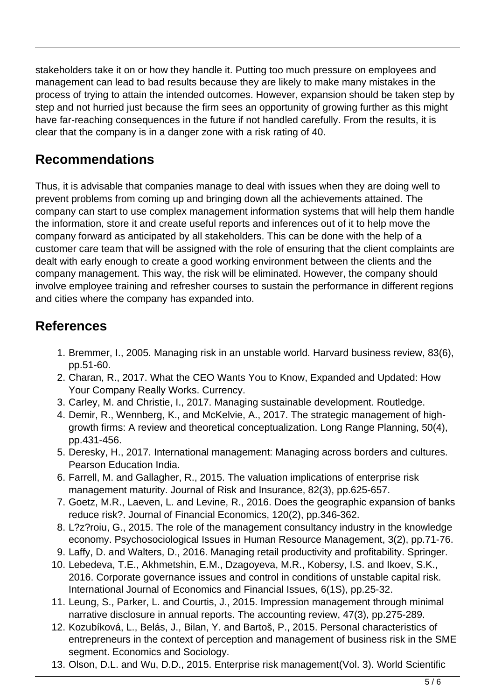stakeholders take it on or how they handle it. Putting too much pressure on employees and management can lead to bad results because they are likely to make many mistakes in the process of trying to attain the intended outcomes. However, expansion should be taken step by step and not hurried just because the firm sees an opportunity of growing further as this might have far-reaching consequences in the future if not handled carefully. From the results, it is clear that the company is in a danger zone with a risk rating of 40.

## **Recommendations**

Thus, it is advisable that companies manage to deal with issues when they are doing well to prevent problems from coming up and bringing down all the achievements attained. The company can start to use complex management information systems that will help them handle the information, store it and create useful reports and inferences out of it to help move the company forward as anticipated by all stakeholders. This can be done with the help of a customer care team that will be assigned with the role of ensuring that the client complaints are dealt with early enough to create a good working environment between the clients and the company management. This way, the risk will be eliminated. However, the company should involve employee training and refresher courses to sustain the performance in different regions and cities where the company has expanded into.

## **References**

- 1. Bremmer, I., 2005. Managing risk in an unstable world. Harvard business review, 83(6), pp.51-60.
- 2. Charan, R., 2017. What the CEO Wants You to Know, Expanded and Updated: How Your Company Really Works. Currency.
- 3. Carley, M. and Christie, I., 2017. Managing sustainable development. Routledge.
- 4. Demir, R., Wennberg, K., and McKelvie, A., 2017. The strategic management of highgrowth firms: A review and theoretical conceptualization. Long Range Planning, 50(4), pp.431-456.
- 5. Deresky, H., 2017. International management: Managing across borders and cultures. Pearson Education India.
- 6. Farrell, M. and Gallagher, R., 2015. The valuation implications of enterprise risk management maturity. Journal of Risk and Insurance, 82(3), pp.625-657.
- 7. Goetz, M.R., Laeven, L. and Levine, R., 2016. Does the geographic expansion of banks reduce risk?. Journal of Financial Economics, 120(2), pp.346-362.
- 8. L?z?roiu, G., 2015. The role of the management consultancy industry in the knowledge economy. Psychosociological Issues in Human Resource Management, 3(2), pp.71-76.
- 9. Laffy, D. and Walters, D., 2016. Managing retail productivity and profitability. Springer.
- 10. Lebedeva, T.E., Akhmetshin, E.M., Dzagoyeva, M.R., Kobersy, I.S. and Ikoev, S.K., 2016. Corporate governance issues and control in conditions of unstable capital risk. International Journal of Economics and Financial Issues, 6(1S), pp.25-32.
- 11. Leung, S., Parker, L. and Courtis, J., 2015. Impression management through minimal narrative disclosure in annual reports. The accounting review, 47(3), pp.275-289.
- 12. Kozubíková, L., Belás, J., Bilan, Y. and Bartoš, P., 2015. Personal characteristics of entrepreneurs in the context of perception and management of business risk in the SME segment. Economics and Sociology.
- 13. Olson, D.L. and Wu, D.D., 2015. Enterprise risk management(Vol. 3). World Scientific